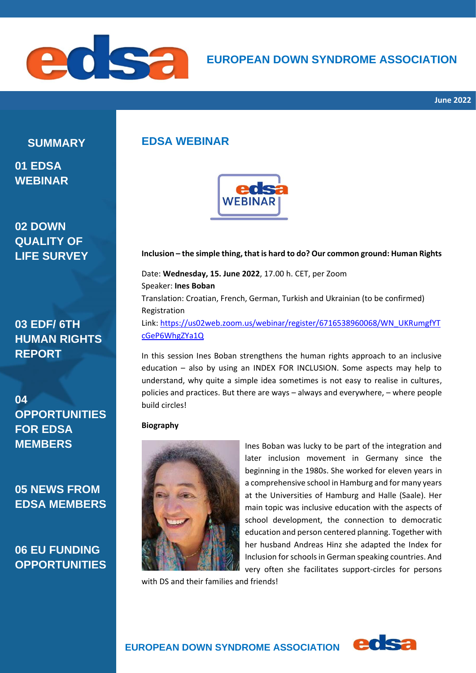

# **EUROPEAN DOWN SYNDROME ASSOCIATION**

**SUMMARY**

**01 EDSA WEBINAR** 

**02 DOWN QUALITY OF LIFE SURVEY**

**03 EDF/ 6TH HUMAN RIGHTS REPORT**

**04 OPPORTUNITIES FOR EDSA MEMBERS**

**05 NEWS FROM EDSA MEMBERS**

**06 EU FUNDING OPPORTUNITIES**

## **EDSA WEBINAR**



#### **Inclusion – the simple thing, that is hard to do? Our common ground: Human Rights**

Date: **Wednesday, 15. June 2022**, 17.00 h. CET, per Zoom Speaker: **Ines Boban** Translation: Croatian, French, German, Turkish and Ukrainian (to be confirmed) Registration Link: [https://us02web.zoom.us/webinar/register/6716538960068/WN\\_UKRumgfYT](https://us02web.zoom.us/webinar/register/6716538960068/WN_UKRumgfYTcGeP6WhgZYa1Q) [cGeP6WhgZYa1Q](https://us02web.zoom.us/webinar/register/6716538960068/WN_UKRumgfYTcGeP6WhgZYa1Q)

In this session Ines Boban strengthens the human rights approach to an inclusive education – also by using an INDEX FOR INCLUSION. Some aspects may help to understand, why quite a simple idea sometimes is not easy to realise in cultures, policies and practices. But there are ways – always and everywhere, – where people build circles!

#### **Biography**



Ines Boban was lucky to be part of the integration and later inclusion movement in Germany since the beginning in the 1980s. She worked for eleven years in a comprehensive school in Hamburg and for many years at the Universities of Hamburg and Halle (Saale). Her main topic was inclusive education with the aspects of school development, the connection to democratic education and person centered planning. Together with her husband Andreas Hinz she adapted the Index for Inclusion for schools in German speaking countries. And very often she facilitates support-circles for persons

with DS and their families and friends!

edsa

# **EUROPEAN DOWN SYNDROME ASSOCIATION**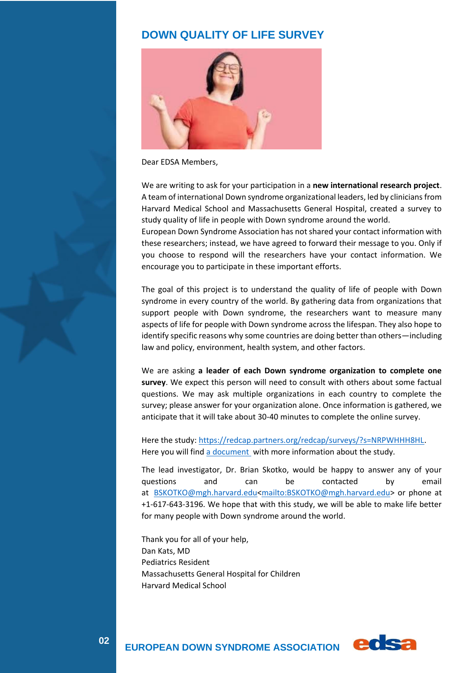## **DOWN QUALITY OF LIFE SURVEY**



Dear EDSA Members,

We are writing to ask for your participation in a **new international research project**. A team of international Down syndrome organizational leaders, led by clinicians from Harvard Medical School and Massachusetts General Hospital, created a survey to study quality of life in people with Down syndrome around the world.

European Down Syndrome Association has not shared your contact information with these researchers; instead, we have agreed to forward their message to you. Only if you choose to respond will the researchers have your contact information. We encourage you to participate in these important efforts.

The goal of this project is to understand the quality of life of people with Down syndrome in every country of the world. By gathering data from organizations that support people with Down syndrome, the researchers want to measure many aspects of life for people with Down syndrome across the lifespan. They also hope to identify specific reasons why some countries are doing better than others—including law and policy, environment, health system, and other factors.

We are asking **a leader of each Down syndrome organization to complete one survey**. We expect this person will need to consult with others about some factual questions. We may ask multiple organizations in each country to complete the survey; please answer for your organization alone. Once information is gathered, we anticipate that it will take about 30-40 minutes to complete the online survey.

Here the study: [https://redcap.partners.org/redcap/surveys/?s=NRPWHHH8HL.](https://redcap.partners.org/redcap/surveys/?s=NRPWHHH8HL) Here you will find [a document](https://drive.google.com/file/d/1-2-RYp5IM6Mk3yzseUkYUITXibi3opJs/view?usp=sharing) with more information about the study.

The lead investigator, Dr. Brian Skotko, would be happy to answer any of your questions and can be contacted by email at [BSKOTKO@mgh.harvard.edu<mailto:BSKOTKO@mgh.harvard.edu>](mailto:BSKOTKO@mgh.harvard.edu) or phone at +1-617-643-3196. We hope that with this study, we will be able to make life better for many people with Down syndrome around the world.

Thank you for all of your help, Dan Kats, MD Pediatrics Resident Massachusetts General Hospital for Children Harvard Medical School

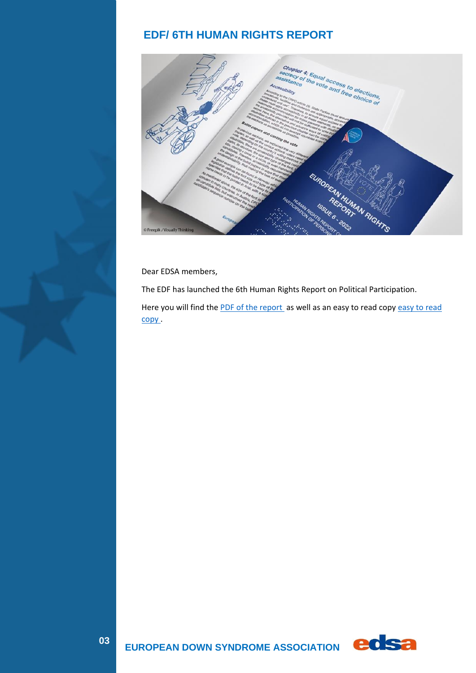# **EDF/ 6TH HUMAN RIGHTS REPORT**



Dear EDSA members,

The EDF has launched the 6th Human Rights Report on Political Participation.

Here you will find the PDF of [the report](https://drive.google.com/file/d/19Z6t34mqAkDsOv1ss15DSyp6A1y9gN80/view?usp=sharing) as well as an [easy to read](https://drive.google.com/file/d/1mMcADyLoeNyNUrPJQJ_rz-hq595R5-t3/view?usp=sharing) copy easy to read [copy .](https://drive.google.com/file/d/1mMcADyLoeNyNUrPJQJ_rz-hq595R5-t3/view?usp=sharing)



**EUROPEAN DOWN SYNDROME ASSOCIATION COSE**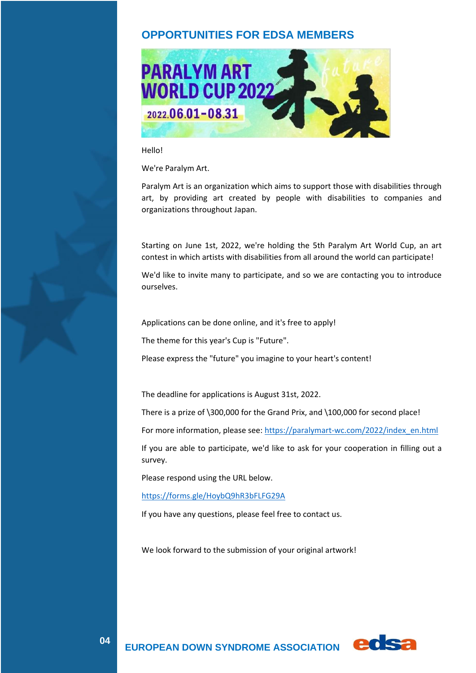## **OPPORTUNITIES FOR EDSA MEMBERS**



#### Hello!

We're Paralym Art.

Paralym Art is an organization which aims to support those with disabilities through art, by providing art created by people with disabilities to companies and organizations throughout Japan.

Starting on June 1st, 2022, we're holding the 5th Paralym Art World Cup, an art contest in which artists with disabilities from all around the world can participate!

We'd like to invite many to participate, and so we are contacting you to introduce ourselves.

Applications can be done online, and it's free to apply!

The theme for this year's Cup is "Future".

Please express the "future" you imagine to your heart's content!

The deadline for applications is August 31st, 2022.

There is a prize of \300,000 for the Grand Prix, and \100,000 for second place!

For more information, please see: [https://paralymart-wc.com/2022/index\\_en.html](https://clk.nxlk.jp/m/ZAM9bnLqC)

If you are able to participate, we'd like to ask for your cooperation in filling out a survey.

Please respond using the URL below.

[https://forms.gle/HoybQ9hR3bFLFG29A](https://clk.nxlk.jp/m/CWNvdL1ZC)

If you have any questions, please feel free to contact us.

We look forward to the submission of your original artwork!

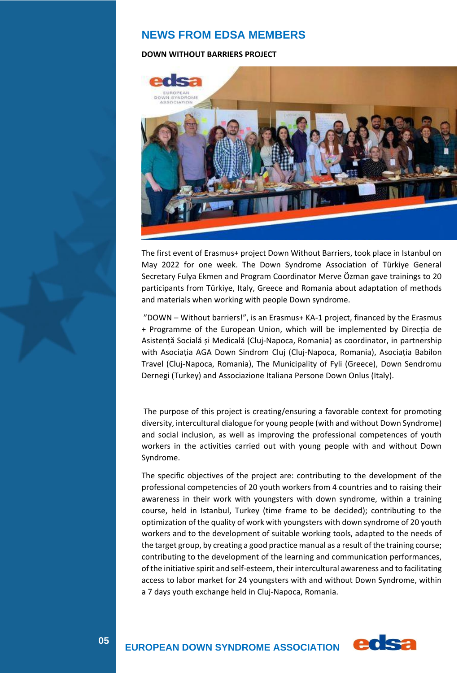## **NEWS FROM EDSA MEMBERS**

#### **DOWN WITHOUT BARRIERS PROJECT**



The first event of Erasmus+ project Down Without Barriers, took place in Istanbul on May 2022 for one week. The Down Syndrome Association of Türkiye General Secretary Fulya Ekmen and Program Coordinator Merve Özman gave trainings to 20 participants from Türkiye, Italy, Greece and Romania about adaptation of methods and materials when working with people Down syndrome.

"DOWN – Without barriers!", is an Erasmus+ KA-1 project, financed by the Erasmus + Programme of the European Union, which will be implemented by Direcția de Asistență Socială și Medicală (Cluj-Napoca, Romania) as coordinator, in partnership with Asociația AGA Down Sindrom Cluj (Cluj-Napoca, Romania), Asociația Babilon Travel (Cluj-Napoca, Romania), The Municipality of Fyli (Greece), Down Sendromu Dernegi (Turkey) and Associazione Italiana Persone Down Onlus (Italy).

The purpose of this project is creating/ensuring a favorable context for promoting diversity, intercultural dialogue for young people (with and without Down Syndrome) and social inclusion, as well as improving the professional competences of youth workers in the activities carried out with young people with and without Down Syndrome.

The specific objectives of the project are: contributing to the development of the professional competencies of 20 youth workers from 4 countries and to raising their awareness in their work with youngsters with down syndrome, within a training course, held in Istanbul, Turkey (time frame to be decided); contributing to the optimization of the quality of work with youngsters with down syndrome of 20 youth workers and to the development of suitable working tools, adapted to the needs of the target group, by creating a good practice manual as a result of the training course; contributing to the development of the learning and communication performances, of the initiative spirit and self-esteem, their intercultural awareness and to facilitating access to labor market for 24 youngsters with and without Down Syndrome, within a 7 days youth exchange held in Cluj-Napoca, Romania.



 **EUROPEAN DOWN SYNDROME ASSOCIATION**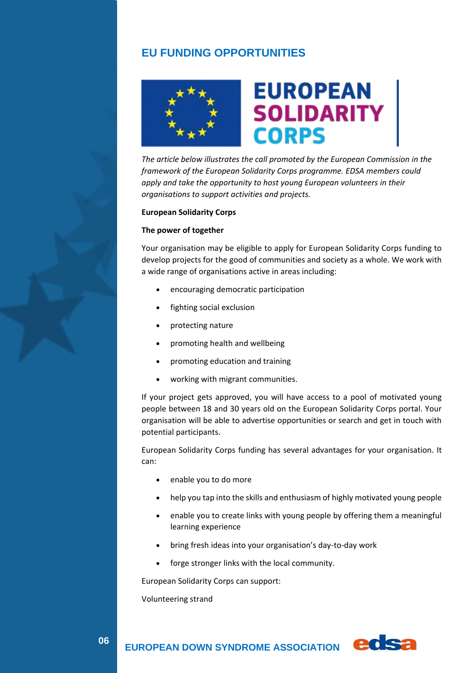## **EU FUNDING OPPORTUNITIES**



*The article below illustrates the call promoted by the European Commission in the framework of the European Solidarity Corps programme. EDSA members could apply and take the opportunity to host young European volunteers in their organisations to support activities and projects.*

#### **European Solidarity Corps**

#### **The power of together**

Your organisation may be eligible to apply for European Solidarity Corps funding to develop projects for the good of communities and society as a whole. We work with a wide range of organisations active in areas including:

- encouraging democratic participation
- fighting social exclusion
- protecting nature
- promoting health and wellbeing
- promoting education and training
- working with migrant communities.

If your project gets approved, you will have access to a pool of motivated young people between 18 and 30 years old on the European Solidarity Corps portal. Your organisation will be able to advertise opportunities or search and get in touch with potential participants.

European Solidarity Corps funding has several advantages for your organisation. It can:

- enable you to do more
- help you tap into the skills and enthusiasm of highly motivated young people
- enable you to create links with young people by offering them a meaningful learning experience
- bring fresh ideas into your organisation's day-to-day work
- forge stronger links with the local community.

European Solidarity Corps can support:

Volunteering strand

06

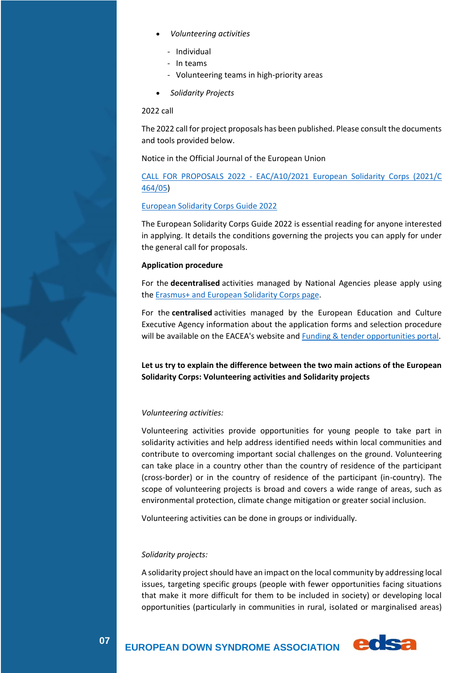- *Volunteering activities*
	- Individual
	- In teams
	- Volunteering teams in high-priority areas
- *Solidarity Projects*

### 2022 call

The 2022 call for project proposals has been published. Please consult the documents and tools provided below.

Notice in the Official Journal of the European Union

## CALL FOR PROPOSALS 2022 - [EAC/A10/2021 European Solidarity Corps \(2021/C](https://eur-lex.europa.eu/legal-content/EN/TXT/?uri=uriserv%3AOJ.C_.2021.464.01.0017.01.ENG&toc=OJ%3AC%3A2021%3A464%3ATOC)  [464/05\)](https://eur-lex.europa.eu/legal-content/EN/TXT/?uri=uriserv%3AOJ.C_.2021.464.01.0017.01.ENG&toc=OJ%3AC%3A2021%3A464%3ATOC)

### [European Solidarity Corps Guide 2022](https://europa.eu/youth/sites/default/files/european_solidarity_corps_guide_2022_en_v2.pdf)

The European Solidarity Corps Guide 2022 is essential reading for anyone interested in applying. It details the conditions governing the projects you can apply for under the general call for proposals.

### **Application procedure**

For the **decentralised** activities managed by National Agencies please apply using the [Erasmus+ and European Solidarity Corps page.](https://webgate.ec.europa.eu/erasmus-esc/index/)

For the **centralised** activities managed by the European Education and Culture Executive Agency information about the application forms and selection procedure will be available on the EACEA's website and [Funding & tender opportunities portal.](https://ec.europa.eu/info/funding-tenders/opportunities/portal/screen/programmes/esc2027)

**Let us try to explain the difference between the two main actions of the European Solidarity Corps: Volunteering activities and Solidarity projects**

### *Volunteering activities:*

Volunteering activities provide opportunities for young people to take part in solidarity activities and help address identified needs within local communities and contribute to overcoming important social challenges on the ground. Volunteering can take place in a country other than the country of residence of the participant (cross-border) or in the country of residence of the participant (in-country). The scope of volunteering projects is broad and covers a wide range of areas, such as environmental protection, climate change mitigation or greater social inclusion.

Volunteering activities can be done in groups or individually.

### *Solidarity projects:*

A solidarity project should have an impact on the local community by addressing local issues, targeting specific groups (people with fewer opportunities facing situations that make it more difficult for them to be included in society) or developing local opportunities (particularly in communities in rural, isolated or marginalised areas)



**EUROPEAN DOWN SYNDROME ASSOCIATION COLS?**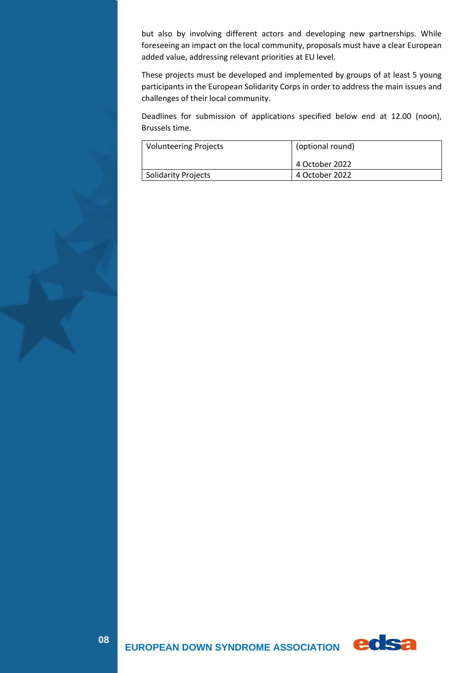but also by involving different actors and developing new partnerships. While foreseeing an impact on the local community, proposals must have a clear European added value, addressing relevant priorities at EU level.

These projects must be developed and implemented by groups of at least 5 young participants in the European Solidarity Corps in order to address the main issues and challenges of their local community.

Deadlines for submission of applications specified below end at 12.00 (noon), Brussels time.

| <b>Volunteering Projects</b> | (optional round) |
|------------------------------|------------------|
|                              | l 4 October 2022 |
| <b>Solidarity Projects</b>   | 4 October 2022   |